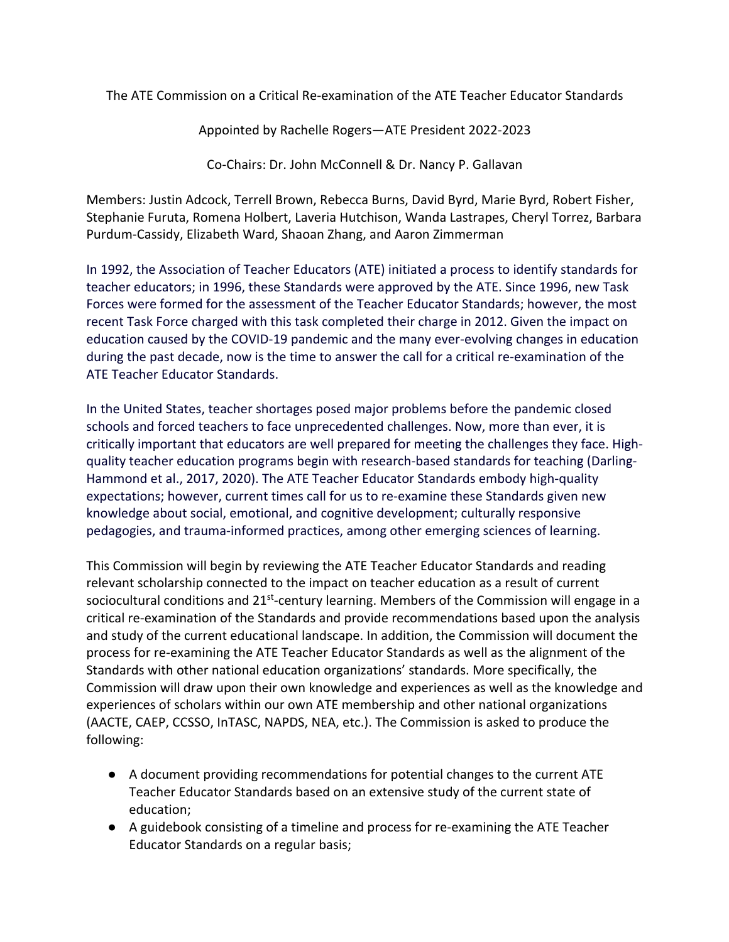The ATE Commission on a Critical Re-examination of the ATE Teacher Educator Standards

Appointed by Rachelle Rogers—ATE President 2022-2023

Co-Chairs: Dr. John McConnell & Dr. Nancy P. Gallavan

Members: Justin Adcock, Terrell Brown, Rebecca Burns, David Byrd, Marie Byrd, Robert Fisher, Stephanie Furuta, Romena Holbert, Laveria Hutchison, Wanda Lastrapes, Cheryl Torrez, Barbara Purdum-Cassidy, Elizabeth Ward, Shaoan Zhang, and Aaron Zimmerman

In 1992, the Association of Teacher Educators (ATE) initiated a process to identify standards for teacher educators; in 1996, these Standards were approved by the ATE. Since 1996, new Task Forces were formed for the assessment of the Teacher Educator Standards; however, the most recent Task Force charged with this task completed their charge in 2012. Given the impact on education caused by the COVID-19 pandemic and the many ever-evolving changes in education during the past decade, now is the time to answer the call for a critical re-examination of the ATE Teacher Educator Standards.

In the United States, teacher shortages posed major problems before the pandemic closed schools and forced teachers to face unprecedented challenges. Now, more than ever, it is critically important that educators are well prepared for meeting the challenges they face. Highquality teacher education programs begin with research-based standards for teaching (Darling-Hammond et al., 2017, 2020). The ATE Teacher Educator Standards embody high-quality expectations; however, current times call for us to re-examine these Standards given new knowledge about social, emotional, and cognitive development; culturally responsive pedagogies, and trauma-informed practices, among other emerging sciences of learning.

This Commission will begin by reviewing the ATE Teacher Educator Standards and reading relevant scholarship connected to the impact on teacher education as a result of current sociocultural conditions and  $21^{st}$ -century learning. Members of the Commission will engage in a critical re-examination of the Standards and provide recommendations based upon the analysis and study of the current educational landscape. In addition, the Commission will document the process for re-examining the ATE Teacher Educator Standards as well as the alignment of the Standards with other national education organizations' standards. More specifically, the Commission will draw upon their own knowledge and experiences as well as the knowledge and experiences of scholars within our own ATE membership and other national organizations (AACTE, CAEP, CCSSO, InTASC, NAPDS, NEA, etc.). The Commission is asked to produce the following:

- A document providing recommendations for potential changes to the current ATE Teacher Educator Standards based on an extensive study of the current state of education;
- A guidebook consisting of a timeline and process for re-examining the ATE Teacher Educator Standards on a regular basis;